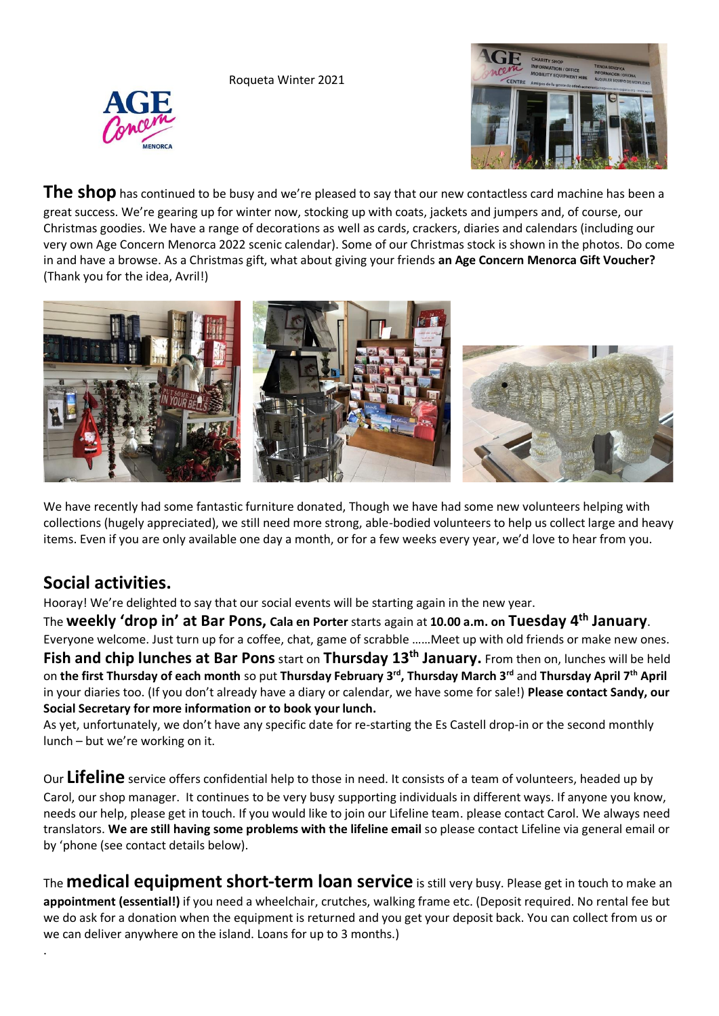Roqueta Winter 2021





**The shop** has continued to be busy and we're pleased to say that our new contactless card machine has been a great success. We're gearing up for winter now, stocking up with coats, jackets and jumpers and, of course, our Christmas goodies. We have a range of decorations as well as cards, crackers, diaries and calendars (including our very own Age Concern Menorca 2022 scenic calendar). Some of our Christmas stock is shown in the photos. Do come in and have a browse. As a Christmas gift, what about giving your friends **an Age Concern Menorca Gift Voucher?**  (Thank you for the idea, Avril!)



We have recently had some fantastic furniture donated, Though we have had some new volunteers helping with collections (hugely appreciated), we still need more strong, able-bodied volunteers to help us collect large and heavy items. Even if you are only available one day a month, or for a few weeks every year, we'd love to hear from you.

## **Social activities.**

.

Hooray! We're delighted to say that our social events will be starting again in the new year.

The **weekly 'drop in' at Bar Pons, Cala en Porter** starts again at **10.00 a.m. on Tuesday 4th January**. Everyone welcome. Just turn up for a coffee, chat, game of scrabble ……Meet up with old friends or make new ones. **Fish and chip lunches at Bar Pons**start on **Thursday 13th January.** From then on, lunches will be held on **the first Thursday of each month** so put **Thursday February 3rd, Thursday March 3rd** and **Thursday April 7th April**  in your diaries too. (If you don't already have a diary or calendar, we have some for sale!) **Please contact Sandy, our Social Secretary for more information or to book your lunch.**

As yet, unfortunately, we don't have any specific date for re-starting the Es Castell drop-in or the second monthly lunch – but we're working on it.

Our **Lifeline** service offers confidential help to those in need. It consists of a team of volunteers, headed up by Carol, our shop manager. It continues to be very busy supporting individuals in different ways. If anyone you know, needs our help, please get in touch. If you would like to join our Lifeline team. please contact Carol. We always need translators. **We are still having some problems with the lifeline email** so please contact Lifeline via general email or by 'phone (see contact details below).

The **medical equipment short-term loan service** is still very busy. Please get in touch to make an **appointment (essential!)** if you need a wheelchair, crutches, walking frame etc. (Deposit required. No rental fee but we do ask for a donation when the equipment is returned and you get your deposit back. You can collect from us or we can deliver anywhere on the island. Loans for up to 3 months.)